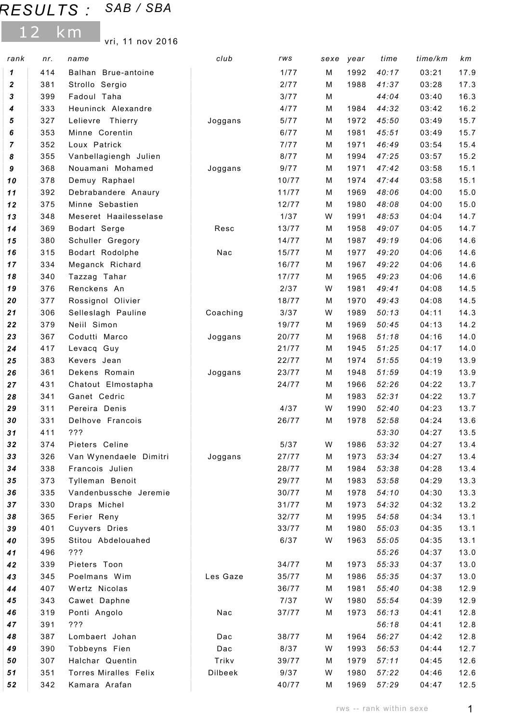## RESULTS : SAB / SBA

12 km

vri, 11 nov 2016

| rank     | nr.        | name                                     | club     | rws             | sexe   | year         | time           | time/km        | km           |
|----------|------------|------------------------------------------|----------|-----------------|--------|--------------|----------------|----------------|--------------|
| 1        | 414        | Balhan Brue-antoine                      |          | 1/77            | M      | 1992         | 40:17          | 03:21          | 17.9         |
| 2        | 381        | Strollo Sergio                           |          | 2/77            | M      | 1988         | 41:37          | 03:28          | 17.3         |
| 3        | 399        | Fadoul Taha                              |          | 3/77            | M      |              | 44:04          | 03:40          | 16.3         |
| 4        | 333        | Heuninck Alexandre                       |          | 4/77            | М      | 1984         | 44:32          | 03:42          | 16.2         |
| 5        | 327        | Lelievre Thierry                         | Joggans  | 5/77            | М      | 1972         | 45:50          | 03:49          | 15.7         |
| 6        | 353        | Minne Corentin                           |          | 6/77            | М      | 1981         | 45:51          | 03:49          | 15.7         |
| 7        | 352        | Loux Patrick                             |          | 7/77            | М      | 1971         | 46:49          | 03:54          | 15.4         |
| 8        | 355        | Vanbellagiengh Julien                    |          | 8/77            | M      | 1994         | 47:25          | 03:57          | 15.2         |
| 9        | 368        | Nouamani Mohamed                         | Joggans  | 9/77            | М      | 1971         | 47:42          | 03:58          | 15.1         |
| 10       | 378        | Demuy Raphael                            |          | 10/77           | М      | 1974         | 47:44          | 03:58          | 15.1         |
| $11$     | 392        | Debrabandere Anaury                      |          | 11/77           | М      | 1969         | 48:06          | 04:00          | 15.0         |
| 12       | 375        | Minne Sebastien                          |          | 12/77           | М      | 1980         | 48:08          | 04:00          | 15.0         |
| 13       | 348        | Meseret Haailesselase                    |          | 1/37            | W      | 1991         | 48:53          | 04:04          | 14.7         |
| 14       | 369        | Bodart Serge                             | Resc     | 13/77           | М      | 1958         | 49:07          | 04:05          | 14.7         |
| 15       | 380        | Schuller Gregory                         |          | 14/77           | М      | 1987         | 49:19          | 04:06          | 14.6         |
| 16       | 315        | Bodart Rodolphe                          | Nac      | 15/77           | М      | 1977         | 49:20          | 04:06          | 14.6         |
| 17       | 334        | Meganck Richard                          |          | 16/77           | М      | 1967         | 49:22          | 04:06          | 14.6         |
| 18       | 340        | Tazzag Tahar                             |          | 17/77           | М      | 1965         | 49:23          | 04:06          | 14.6         |
| 19       | 376        | Renckens An                              |          | 2/37            | W      | 1981         | 49:41          | 04:08          | 14.5         |
| 20       | 377        | Rossignol Olivier                        |          | 18/77           | М      | 1970         | 49:43          | 04:08          | 14.5         |
| 21       | 306        | Selleslagh Pauline                       | Coaching | 3/37            | W      | 1989         | 50:13          | 04:11          | 14.3         |
| 22       | 379        | Neiil Simon                              |          | 19/77           | М      | 1969         | 50:45          | 04:13          | 14.2         |
| 23       | 367        | Codutti Marco                            | Joggans  | 20/77           | М      | 1968         | 51:18          | 04:16          | 14.0         |
| 24       | 417        | Levacq Guy                               |          | 21/77           | М      | 1945         | 51:25          | 04:17          | 14.0         |
| 25       | 383        | Kevers Jean                              |          | 22/77           | М      | 1974         | 51:55          | 04:19          | 13.9         |
| 26       | 361        | Dekens Romain                            | Joggans  | 23/77           | М      | 1948         | 51:59          | 04:19          | 13.9         |
| 27       | 431        | Chatout Elmostapha                       |          | 24/77           | М      | 1966         | 52:26          | 04:22          | 13.7         |
| 28       | 341        | Ganet Cedric                             |          |                 | М      | 1983         | 52:31          | 04:22          | 13.7         |
| 29       | 311        | Pereira Denis                            |          | 4/37            | W      | 1990         | 52:40          | 04:23          | 13.7         |
| 30       | 331        | Delhove Francois                         |          | 26/77           | M      | 1978         | 52:58          | 04:24          | 13.6         |
| 31       | 411        | ???                                      |          |                 |        |              | 53:30          | 04:27          | 13.5         |
| 32<br>33 | 374<br>326 | Pieters Celine<br>Van Wynendaele Dimitri |          | $5/37$<br>27/77 | W      | 1986<br>1973 | 53:32<br>53:34 | 04:27<br>04:27 | 13.4<br>13.4 |
| 34       | 338        | Francois Julien                          | Joggans  | 28/77           | М<br>М | 1984         | 53:38          | 04:28          | 13.4         |
| 35       | 373        | Tylleman Benoit                          |          | 29/77           | М      | 1983         | 53:58          | 04:29          | 13.3         |
| 36       | 335        | Vandenbussche Jeremie                    |          | 30/77           | М      | 1978         | 54:10          | 04:30          | 13.3         |
| 37       | 330        | Draps Michel                             |          | 31/77           | М      | 1973         | 54:32          | 04:32          | 13.2         |
| 38       | 365        | Ferier Reny                              |          | 32/77           | м      | 1995         | 54:58          | 04:34          | 13.1         |
| 39       | 401        | Cuyvers Dries                            |          | 33/77           | М      | 1980         | 55:03          | 04:35          | 13.1         |
| 40       | 395        | Stitou Abdelouahed                       |          | 6/37            | W      | 1963         | 55:05          | 04:35          | 13.1         |
| 41       | 496        | ???                                      |          |                 |        |              | 55:26          | 04:37          | 13.0         |
| 42       | 339        | Pieters Toon                             |          | 34/77           | М      | 1973         | 55:33          | 04:37          | 13.0         |
| 43       | 345        | Poelmans Wim                             | Les Gaze | 35/77           | М      | 1986         | 55:35          | 04:37          | 13.0         |
| 44       | 407        | Wertz Nicolas                            |          | 36/77           | м      | 1981         | 55:40          | 04:38          | 12.9         |
| 45       | 343        | Cawet Daphne                             |          | 7/37            | W      | 1980         | 55:54          | 04:39          | 12.9         |
| 46       | 319        | Ponti Angolo                             | Nac      | 37/77           | М      | 1973         | 56:13          | 04:41          | 12.8         |
| 47       | 391        | ???                                      |          |                 |        |              | 56:18          | 04:41          | 12.8         |
| 48       | 387        | Lombaert Johan                           | Dac      | 38/77           | М      | 1964         | 56:27          | 04:42          | 12.8         |
| 49       | 390        | Tobbeyns Fien                            | Dac      | 8/37            | W      | 1993         | 56:53          | 04:44          | 12.7         |
| 50       | 307        | Halchar Quentin                          | Trikv    | 39/77           | м      | 1979         | 57:11          | 04:45          | 12.6         |
| 51       | 351        | Torres Miralles Felix                    | Dilbeek  | 9/37            | W      | 1980         | 57:22          | 04:46          | 12.6         |
| 52       | 342        | Kamara Arafan                            |          | 40/77           | М      | 1969         | 57:29          | 04:47          | 12.5         |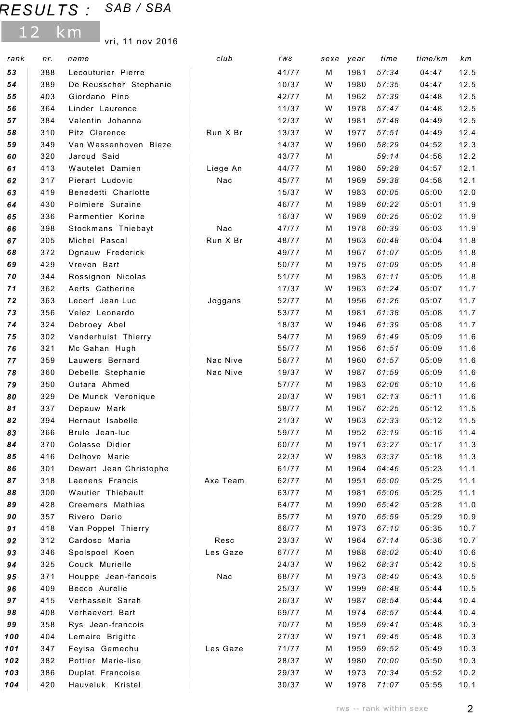## RESULTS : SAB / SBA

12 km

vri, 11 nov 2016

| 57:34<br>53<br>388<br>41/77<br>M<br>1981<br>04:47<br>12.5<br>Lecouturier Pierre<br>54<br>389<br>De Reusscher Stephanie<br>10/37<br>W<br>1980<br>57:35<br>04:47<br>12.5<br>57:39<br>12.5<br>403<br>Giordano Pino<br>42/77<br>1962<br>04:48<br>55<br>м<br>364<br>Linder Laurence<br>11/37<br>1978<br>57:47<br>04:48<br>12.5<br>56<br>W<br>12/37<br>1981<br>57:48<br>57<br>384<br>Valentin Johanna<br>04:49<br>12.5<br>W<br>310<br>Pitz Clarence<br>Run X Br<br>13/37<br>1977<br>57:51<br>04:49<br>12.4<br>58<br>W<br>349<br>14/37<br>1960<br>58:29<br>04:52<br>12.3<br>59<br>Van Wassenhoven Bieze<br>W<br>320<br>Jaroud Said<br>59:14<br>12.2<br>60<br>43/77<br>04:56<br>М<br>12.1<br>413<br>Wautelet Damien<br>Liege An<br>1980<br>59:28<br>04:57<br>61<br>44/77<br>М<br>317<br>Pierart Ludovic<br>Nac<br>45/77<br>1969<br>59:38<br>04:58<br>12.1<br>62<br>М<br>60:05<br>63<br>419<br>Benedetti Charlotte<br>15/37<br>1983<br>05:00<br>12.0<br>W<br>Polmiere Suraine<br>430<br>46/77<br>1989<br>60:22<br>05:01<br>11.9<br>64<br>М<br>336<br>Parmentier Korine<br>16/37<br>W<br>1969<br>60:25<br>05:02<br>11.9<br>65<br>Nac<br>60:39<br>05:03<br>66<br>398<br>47/77<br>1978<br>11.9<br>Stockmans Thiebayt<br>М<br>305<br>Michel Pascal<br>Run X Br<br>60:48<br>1963<br>05:04<br>11.8<br>67<br>48/77<br>М<br>372<br>49/77<br>1967<br>61:07<br>05:05<br>11.8<br>68<br>Dgnauw Frederick<br>М<br>61:09<br>69<br>429<br>Vreven Bart<br>50/77<br>1975<br>05:05<br>11.8<br>М<br>344<br>70<br>Rossignon Nicolas<br>51/77<br>1983<br>61:11<br>05:05<br>11.8<br>М<br>362<br>Aerts Catherine<br>17/37<br>1963<br>61:24<br>05:07<br>11.7<br>71<br>W<br>72<br>363<br>1956<br>61:26<br>05:07<br>11.7<br>Lecerf Jean Luc<br>52/77<br>Joggans<br>М<br>356<br>1981<br>Velez Leonardo<br>53/77<br>61:38<br>05:08<br>11.7<br>73<br>М<br>324<br>18/37<br>1946<br>61:39<br>05:08<br>11.7<br>74<br>Debroey Abel<br>W<br>302<br>54/77<br>1969<br>61:49<br>11.6<br>75<br>Vanderhulst Thierry<br>05:09<br>М<br>321<br>Mc Gahan Hugh<br>55/77<br>1956<br>61:51<br>05:09<br>11.6<br>76<br>М<br>359<br>Lauwers Bernard<br>Nac Nive<br>56/77<br>1960<br>61:57<br>05:09<br>11.6<br>77<br>М<br>360<br>Nac Nive<br>19/37<br>1987<br>61:59<br>05:09<br>11.6<br>78<br>Debelle Stephanie<br>W<br>Outara Ahmed<br>350<br>57/77<br>1983<br>62:06<br>05:10<br>11.6<br>79<br>м<br>62:13<br>329<br>De Munck Veronique<br>20/37<br>W<br>1961<br>05:11<br>11.6<br>80<br>81<br>337<br>58/77<br>1967<br>62:25<br>05:12<br>11.5<br>Depauw Mark<br>м<br>394<br>62:33<br>05:12<br>11.5<br>82<br>Hernaut Isabelle<br>21/37<br>W<br>1963<br>1952<br>366<br>59/77<br>63:19<br>05:16<br>83<br>Brule Jean-luc<br>M<br>11.4<br>84<br>370<br>60/77<br>63:27<br>05:17<br>Colasse Didier<br>1971<br>11.3<br>М<br>22/37<br>85<br>416<br>Delhove Marie<br>1983<br>63:37<br>05:18<br>11.3<br>W<br>301<br>Dewart Jean Christophe<br>1964<br>64:46<br>05:23<br>86<br>61/77<br>11.1<br>М<br>62/77<br>65:00<br>87<br>318<br>Laenens Francis<br>Axa Team<br>1951<br>05:25<br>11.1<br>М<br>300<br>Wautier Thiebault<br>63/77<br>1981<br>65:06<br>05:25<br>11.1<br>88<br>М<br>428<br>Creemers Mathias<br>64/77<br>1990<br>65:42<br>05:28<br>11.0<br>89<br>М<br>65/77<br>65:59<br>90<br>357<br>Rivero Dario<br>1970<br>05:29<br>10.9<br>м<br>91<br>418<br>Van Poppel Thierry<br>66/77<br>1973<br>67:10<br>05:35<br>10.7<br>м<br>312<br>Cardoso Maria<br>Resc<br>23/37<br>1964<br>67:14<br>05:36<br>10.7<br>92<br>W<br>93<br>Les Gaze<br>346<br>Spolspoel Koen<br>67/77<br>1988<br>68:02<br>05:40<br>10.6<br>м<br>325<br>68:31<br>94<br>Couck Murielle<br>24/37<br>1962<br>05:42<br>10.5<br>W<br>371<br>Houppe Jean-fancois<br>Nac<br>68/77<br>1973<br>68:40<br>05:43<br>10.5<br>95<br>М<br>96<br>409<br>Becco Aurelie<br>25/37<br>1999<br>68:48<br>05:44<br>10.5<br>W<br>97<br>415<br>Verhasselt Sarah<br>26/37<br>1987<br>68:54<br>05:44<br>10.4<br>W<br>408<br>69/77<br>1974<br>68:57<br>05:44<br>10.4<br>98<br>Verhaevert Bart<br>М<br>358<br>70/77<br>1959<br>69:41<br>10.3<br>99<br>Rys Jean-francois<br>05:48<br>М<br>404<br>27/37<br>1971<br>69:45<br>05:48<br>10.3<br>100<br>Lemaire Brigitte<br>W<br>Feyisa Gemechu<br>Les Gaze<br>71/77<br>1959<br>69:52<br>05:49<br>10.3<br>101<br>347<br>М<br>70:00<br>102<br>382<br>Pottier Marie-lise<br>28/37<br>1980<br>05:50<br>10.3<br>W<br>386<br>Duplat Francoise<br>29/37<br>1973<br>70:34<br>10.2<br>103<br>W<br>05:52<br>420<br>Hauveluk Kristel<br>30/37<br>1978<br>71:07<br>10.1<br>104<br>W<br>05:55 | rank | nr. | name | club | rws | sexe | year | time | time/km | km |
|--------------------------------------------------------------------------------------------------------------------------------------------------------------------------------------------------------------------------------------------------------------------------------------------------------------------------------------------------------------------------------------------------------------------------------------------------------------------------------------------------------------------------------------------------------------------------------------------------------------------------------------------------------------------------------------------------------------------------------------------------------------------------------------------------------------------------------------------------------------------------------------------------------------------------------------------------------------------------------------------------------------------------------------------------------------------------------------------------------------------------------------------------------------------------------------------------------------------------------------------------------------------------------------------------------------------------------------------------------------------------------------------------------------------------------------------------------------------------------------------------------------------------------------------------------------------------------------------------------------------------------------------------------------------------------------------------------------------------------------------------------------------------------------------------------------------------------------------------------------------------------------------------------------------------------------------------------------------------------------------------------------------------------------------------------------------------------------------------------------------------------------------------------------------------------------------------------------------------------------------------------------------------------------------------------------------------------------------------------------------------------------------------------------------------------------------------------------------------------------------------------------------------------------------------------------------------------------------------------------------------------------------------------------------------------------------------------------------------------------------------------------------------------------------------------------------------------------------------------------------------------------------------------------------------------------------------------------------------------------------------------------------------------------------------------------------------------------------------------------------------------------------------------------------------------------------------------------------------------------------------------------------------------------------------------------------------------------------------------------------------------------------------------------------------------------------------------------------------------------------------------------------------------------------------------------------------------------------------------------------------------------------------------------------------------------------------------------------------------------------------------------------------------------------------------------------------------------------------------------------------------------------------------------------------------------------------------------------------------------------------------------------------------------------------------------------------------------------------------------------------------------------------------------------------------------------------------------------------------------------------------------------------------------------------------------------------------------------------------------------------------------------------------------------------------------------------------------------------------------------|------|-----|------|------|-----|------|------|------|---------|----|
|                                                                                                                                                                                                                                                                                                                                                                                                                                                                                                                                                                                                                                                                                                                                                                                                                                                                                                                                                                                                                                                                                                                                                                                                                                                                                                                                                                                                                                                                                                                                                                                                                                                                                                                                                                                                                                                                                                                                                                                                                                                                                                                                                                                                                                                                                                                                                                                                                                                                                                                                                                                                                                                                                                                                                                                                                                                                                                                                                                                                                                                                                                                                                                                                                                                                                                                                                                                                                                                                                                                                                                                                                                                                                                                                                                                                                                                                                                                                                                                                                                                                                                                                                                                                                                                                                                                                                                                                                                                                                            |      |     |      |      |     |      |      |      |         |    |
|                                                                                                                                                                                                                                                                                                                                                                                                                                                                                                                                                                                                                                                                                                                                                                                                                                                                                                                                                                                                                                                                                                                                                                                                                                                                                                                                                                                                                                                                                                                                                                                                                                                                                                                                                                                                                                                                                                                                                                                                                                                                                                                                                                                                                                                                                                                                                                                                                                                                                                                                                                                                                                                                                                                                                                                                                                                                                                                                                                                                                                                                                                                                                                                                                                                                                                                                                                                                                                                                                                                                                                                                                                                                                                                                                                                                                                                                                                                                                                                                                                                                                                                                                                                                                                                                                                                                                                                                                                                                                            |      |     |      |      |     |      |      |      |         |    |
|                                                                                                                                                                                                                                                                                                                                                                                                                                                                                                                                                                                                                                                                                                                                                                                                                                                                                                                                                                                                                                                                                                                                                                                                                                                                                                                                                                                                                                                                                                                                                                                                                                                                                                                                                                                                                                                                                                                                                                                                                                                                                                                                                                                                                                                                                                                                                                                                                                                                                                                                                                                                                                                                                                                                                                                                                                                                                                                                                                                                                                                                                                                                                                                                                                                                                                                                                                                                                                                                                                                                                                                                                                                                                                                                                                                                                                                                                                                                                                                                                                                                                                                                                                                                                                                                                                                                                                                                                                                                                            |      |     |      |      |     |      |      |      |         |    |
|                                                                                                                                                                                                                                                                                                                                                                                                                                                                                                                                                                                                                                                                                                                                                                                                                                                                                                                                                                                                                                                                                                                                                                                                                                                                                                                                                                                                                                                                                                                                                                                                                                                                                                                                                                                                                                                                                                                                                                                                                                                                                                                                                                                                                                                                                                                                                                                                                                                                                                                                                                                                                                                                                                                                                                                                                                                                                                                                                                                                                                                                                                                                                                                                                                                                                                                                                                                                                                                                                                                                                                                                                                                                                                                                                                                                                                                                                                                                                                                                                                                                                                                                                                                                                                                                                                                                                                                                                                                                                            |      |     |      |      |     |      |      |      |         |    |
|                                                                                                                                                                                                                                                                                                                                                                                                                                                                                                                                                                                                                                                                                                                                                                                                                                                                                                                                                                                                                                                                                                                                                                                                                                                                                                                                                                                                                                                                                                                                                                                                                                                                                                                                                                                                                                                                                                                                                                                                                                                                                                                                                                                                                                                                                                                                                                                                                                                                                                                                                                                                                                                                                                                                                                                                                                                                                                                                                                                                                                                                                                                                                                                                                                                                                                                                                                                                                                                                                                                                                                                                                                                                                                                                                                                                                                                                                                                                                                                                                                                                                                                                                                                                                                                                                                                                                                                                                                                                                            |      |     |      |      |     |      |      |      |         |    |
|                                                                                                                                                                                                                                                                                                                                                                                                                                                                                                                                                                                                                                                                                                                                                                                                                                                                                                                                                                                                                                                                                                                                                                                                                                                                                                                                                                                                                                                                                                                                                                                                                                                                                                                                                                                                                                                                                                                                                                                                                                                                                                                                                                                                                                                                                                                                                                                                                                                                                                                                                                                                                                                                                                                                                                                                                                                                                                                                                                                                                                                                                                                                                                                                                                                                                                                                                                                                                                                                                                                                                                                                                                                                                                                                                                                                                                                                                                                                                                                                                                                                                                                                                                                                                                                                                                                                                                                                                                                                                            |      |     |      |      |     |      |      |      |         |    |
|                                                                                                                                                                                                                                                                                                                                                                                                                                                                                                                                                                                                                                                                                                                                                                                                                                                                                                                                                                                                                                                                                                                                                                                                                                                                                                                                                                                                                                                                                                                                                                                                                                                                                                                                                                                                                                                                                                                                                                                                                                                                                                                                                                                                                                                                                                                                                                                                                                                                                                                                                                                                                                                                                                                                                                                                                                                                                                                                                                                                                                                                                                                                                                                                                                                                                                                                                                                                                                                                                                                                                                                                                                                                                                                                                                                                                                                                                                                                                                                                                                                                                                                                                                                                                                                                                                                                                                                                                                                                                            |      |     |      |      |     |      |      |      |         |    |
|                                                                                                                                                                                                                                                                                                                                                                                                                                                                                                                                                                                                                                                                                                                                                                                                                                                                                                                                                                                                                                                                                                                                                                                                                                                                                                                                                                                                                                                                                                                                                                                                                                                                                                                                                                                                                                                                                                                                                                                                                                                                                                                                                                                                                                                                                                                                                                                                                                                                                                                                                                                                                                                                                                                                                                                                                                                                                                                                                                                                                                                                                                                                                                                                                                                                                                                                                                                                                                                                                                                                                                                                                                                                                                                                                                                                                                                                                                                                                                                                                                                                                                                                                                                                                                                                                                                                                                                                                                                                                            |      |     |      |      |     |      |      |      |         |    |
|                                                                                                                                                                                                                                                                                                                                                                                                                                                                                                                                                                                                                                                                                                                                                                                                                                                                                                                                                                                                                                                                                                                                                                                                                                                                                                                                                                                                                                                                                                                                                                                                                                                                                                                                                                                                                                                                                                                                                                                                                                                                                                                                                                                                                                                                                                                                                                                                                                                                                                                                                                                                                                                                                                                                                                                                                                                                                                                                                                                                                                                                                                                                                                                                                                                                                                                                                                                                                                                                                                                                                                                                                                                                                                                                                                                                                                                                                                                                                                                                                                                                                                                                                                                                                                                                                                                                                                                                                                                                                            |      |     |      |      |     |      |      |      |         |    |
|                                                                                                                                                                                                                                                                                                                                                                                                                                                                                                                                                                                                                                                                                                                                                                                                                                                                                                                                                                                                                                                                                                                                                                                                                                                                                                                                                                                                                                                                                                                                                                                                                                                                                                                                                                                                                                                                                                                                                                                                                                                                                                                                                                                                                                                                                                                                                                                                                                                                                                                                                                                                                                                                                                                                                                                                                                                                                                                                                                                                                                                                                                                                                                                                                                                                                                                                                                                                                                                                                                                                                                                                                                                                                                                                                                                                                                                                                                                                                                                                                                                                                                                                                                                                                                                                                                                                                                                                                                                                                            |      |     |      |      |     |      |      |      |         |    |
|                                                                                                                                                                                                                                                                                                                                                                                                                                                                                                                                                                                                                                                                                                                                                                                                                                                                                                                                                                                                                                                                                                                                                                                                                                                                                                                                                                                                                                                                                                                                                                                                                                                                                                                                                                                                                                                                                                                                                                                                                                                                                                                                                                                                                                                                                                                                                                                                                                                                                                                                                                                                                                                                                                                                                                                                                                                                                                                                                                                                                                                                                                                                                                                                                                                                                                                                                                                                                                                                                                                                                                                                                                                                                                                                                                                                                                                                                                                                                                                                                                                                                                                                                                                                                                                                                                                                                                                                                                                                                            |      |     |      |      |     |      |      |      |         |    |
|                                                                                                                                                                                                                                                                                                                                                                                                                                                                                                                                                                                                                                                                                                                                                                                                                                                                                                                                                                                                                                                                                                                                                                                                                                                                                                                                                                                                                                                                                                                                                                                                                                                                                                                                                                                                                                                                                                                                                                                                                                                                                                                                                                                                                                                                                                                                                                                                                                                                                                                                                                                                                                                                                                                                                                                                                                                                                                                                                                                                                                                                                                                                                                                                                                                                                                                                                                                                                                                                                                                                                                                                                                                                                                                                                                                                                                                                                                                                                                                                                                                                                                                                                                                                                                                                                                                                                                                                                                                                                            |      |     |      |      |     |      |      |      |         |    |
|                                                                                                                                                                                                                                                                                                                                                                                                                                                                                                                                                                                                                                                                                                                                                                                                                                                                                                                                                                                                                                                                                                                                                                                                                                                                                                                                                                                                                                                                                                                                                                                                                                                                                                                                                                                                                                                                                                                                                                                                                                                                                                                                                                                                                                                                                                                                                                                                                                                                                                                                                                                                                                                                                                                                                                                                                                                                                                                                                                                                                                                                                                                                                                                                                                                                                                                                                                                                                                                                                                                                                                                                                                                                                                                                                                                                                                                                                                                                                                                                                                                                                                                                                                                                                                                                                                                                                                                                                                                                                            |      |     |      |      |     |      |      |      |         |    |
|                                                                                                                                                                                                                                                                                                                                                                                                                                                                                                                                                                                                                                                                                                                                                                                                                                                                                                                                                                                                                                                                                                                                                                                                                                                                                                                                                                                                                                                                                                                                                                                                                                                                                                                                                                                                                                                                                                                                                                                                                                                                                                                                                                                                                                                                                                                                                                                                                                                                                                                                                                                                                                                                                                                                                                                                                                                                                                                                                                                                                                                                                                                                                                                                                                                                                                                                                                                                                                                                                                                                                                                                                                                                                                                                                                                                                                                                                                                                                                                                                                                                                                                                                                                                                                                                                                                                                                                                                                                                                            |      |     |      |      |     |      |      |      |         |    |
|                                                                                                                                                                                                                                                                                                                                                                                                                                                                                                                                                                                                                                                                                                                                                                                                                                                                                                                                                                                                                                                                                                                                                                                                                                                                                                                                                                                                                                                                                                                                                                                                                                                                                                                                                                                                                                                                                                                                                                                                                                                                                                                                                                                                                                                                                                                                                                                                                                                                                                                                                                                                                                                                                                                                                                                                                                                                                                                                                                                                                                                                                                                                                                                                                                                                                                                                                                                                                                                                                                                                                                                                                                                                                                                                                                                                                                                                                                                                                                                                                                                                                                                                                                                                                                                                                                                                                                                                                                                                                            |      |     |      |      |     |      |      |      |         |    |
|                                                                                                                                                                                                                                                                                                                                                                                                                                                                                                                                                                                                                                                                                                                                                                                                                                                                                                                                                                                                                                                                                                                                                                                                                                                                                                                                                                                                                                                                                                                                                                                                                                                                                                                                                                                                                                                                                                                                                                                                                                                                                                                                                                                                                                                                                                                                                                                                                                                                                                                                                                                                                                                                                                                                                                                                                                                                                                                                                                                                                                                                                                                                                                                                                                                                                                                                                                                                                                                                                                                                                                                                                                                                                                                                                                                                                                                                                                                                                                                                                                                                                                                                                                                                                                                                                                                                                                                                                                                                                            |      |     |      |      |     |      |      |      |         |    |
|                                                                                                                                                                                                                                                                                                                                                                                                                                                                                                                                                                                                                                                                                                                                                                                                                                                                                                                                                                                                                                                                                                                                                                                                                                                                                                                                                                                                                                                                                                                                                                                                                                                                                                                                                                                                                                                                                                                                                                                                                                                                                                                                                                                                                                                                                                                                                                                                                                                                                                                                                                                                                                                                                                                                                                                                                                                                                                                                                                                                                                                                                                                                                                                                                                                                                                                                                                                                                                                                                                                                                                                                                                                                                                                                                                                                                                                                                                                                                                                                                                                                                                                                                                                                                                                                                                                                                                                                                                                                                            |      |     |      |      |     |      |      |      |         |    |
|                                                                                                                                                                                                                                                                                                                                                                                                                                                                                                                                                                                                                                                                                                                                                                                                                                                                                                                                                                                                                                                                                                                                                                                                                                                                                                                                                                                                                                                                                                                                                                                                                                                                                                                                                                                                                                                                                                                                                                                                                                                                                                                                                                                                                                                                                                                                                                                                                                                                                                                                                                                                                                                                                                                                                                                                                                                                                                                                                                                                                                                                                                                                                                                                                                                                                                                                                                                                                                                                                                                                                                                                                                                                                                                                                                                                                                                                                                                                                                                                                                                                                                                                                                                                                                                                                                                                                                                                                                                                                            |      |     |      |      |     |      |      |      |         |    |
|                                                                                                                                                                                                                                                                                                                                                                                                                                                                                                                                                                                                                                                                                                                                                                                                                                                                                                                                                                                                                                                                                                                                                                                                                                                                                                                                                                                                                                                                                                                                                                                                                                                                                                                                                                                                                                                                                                                                                                                                                                                                                                                                                                                                                                                                                                                                                                                                                                                                                                                                                                                                                                                                                                                                                                                                                                                                                                                                                                                                                                                                                                                                                                                                                                                                                                                                                                                                                                                                                                                                                                                                                                                                                                                                                                                                                                                                                                                                                                                                                                                                                                                                                                                                                                                                                                                                                                                                                                                                                            |      |     |      |      |     |      |      |      |         |    |
|                                                                                                                                                                                                                                                                                                                                                                                                                                                                                                                                                                                                                                                                                                                                                                                                                                                                                                                                                                                                                                                                                                                                                                                                                                                                                                                                                                                                                                                                                                                                                                                                                                                                                                                                                                                                                                                                                                                                                                                                                                                                                                                                                                                                                                                                                                                                                                                                                                                                                                                                                                                                                                                                                                                                                                                                                                                                                                                                                                                                                                                                                                                                                                                                                                                                                                                                                                                                                                                                                                                                                                                                                                                                                                                                                                                                                                                                                                                                                                                                                                                                                                                                                                                                                                                                                                                                                                                                                                                                                            |      |     |      |      |     |      |      |      |         |    |
|                                                                                                                                                                                                                                                                                                                                                                                                                                                                                                                                                                                                                                                                                                                                                                                                                                                                                                                                                                                                                                                                                                                                                                                                                                                                                                                                                                                                                                                                                                                                                                                                                                                                                                                                                                                                                                                                                                                                                                                                                                                                                                                                                                                                                                                                                                                                                                                                                                                                                                                                                                                                                                                                                                                                                                                                                                                                                                                                                                                                                                                                                                                                                                                                                                                                                                                                                                                                                                                                                                                                                                                                                                                                                                                                                                                                                                                                                                                                                                                                                                                                                                                                                                                                                                                                                                                                                                                                                                                                                            |      |     |      |      |     |      |      |      |         |    |
|                                                                                                                                                                                                                                                                                                                                                                                                                                                                                                                                                                                                                                                                                                                                                                                                                                                                                                                                                                                                                                                                                                                                                                                                                                                                                                                                                                                                                                                                                                                                                                                                                                                                                                                                                                                                                                                                                                                                                                                                                                                                                                                                                                                                                                                                                                                                                                                                                                                                                                                                                                                                                                                                                                                                                                                                                                                                                                                                                                                                                                                                                                                                                                                                                                                                                                                                                                                                                                                                                                                                                                                                                                                                                                                                                                                                                                                                                                                                                                                                                                                                                                                                                                                                                                                                                                                                                                                                                                                                                            |      |     |      |      |     |      |      |      |         |    |
|                                                                                                                                                                                                                                                                                                                                                                                                                                                                                                                                                                                                                                                                                                                                                                                                                                                                                                                                                                                                                                                                                                                                                                                                                                                                                                                                                                                                                                                                                                                                                                                                                                                                                                                                                                                                                                                                                                                                                                                                                                                                                                                                                                                                                                                                                                                                                                                                                                                                                                                                                                                                                                                                                                                                                                                                                                                                                                                                                                                                                                                                                                                                                                                                                                                                                                                                                                                                                                                                                                                                                                                                                                                                                                                                                                                                                                                                                                                                                                                                                                                                                                                                                                                                                                                                                                                                                                                                                                                                                            |      |     |      |      |     |      |      |      |         |    |
|                                                                                                                                                                                                                                                                                                                                                                                                                                                                                                                                                                                                                                                                                                                                                                                                                                                                                                                                                                                                                                                                                                                                                                                                                                                                                                                                                                                                                                                                                                                                                                                                                                                                                                                                                                                                                                                                                                                                                                                                                                                                                                                                                                                                                                                                                                                                                                                                                                                                                                                                                                                                                                                                                                                                                                                                                                                                                                                                                                                                                                                                                                                                                                                                                                                                                                                                                                                                                                                                                                                                                                                                                                                                                                                                                                                                                                                                                                                                                                                                                                                                                                                                                                                                                                                                                                                                                                                                                                                                                            |      |     |      |      |     |      |      |      |         |    |
|                                                                                                                                                                                                                                                                                                                                                                                                                                                                                                                                                                                                                                                                                                                                                                                                                                                                                                                                                                                                                                                                                                                                                                                                                                                                                                                                                                                                                                                                                                                                                                                                                                                                                                                                                                                                                                                                                                                                                                                                                                                                                                                                                                                                                                                                                                                                                                                                                                                                                                                                                                                                                                                                                                                                                                                                                                                                                                                                                                                                                                                                                                                                                                                                                                                                                                                                                                                                                                                                                                                                                                                                                                                                                                                                                                                                                                                                                                                                                                                                                                                                                                                                                                                                                                                                                                                                                                                                                                                                                            |      |     |      |      |     |      |      |      |         |    |
|                                                                                                                                                                                                                                                                                                                                                                                                                                                                                                                                                                                                                                                                                                                                                                                                                                                                                                                                                                                                                                                                                                                                                                                                                                                                                                                                                                                                                                                                                                                                                                                                                                                                                                                                                                                                                                                                                                                                                                                                                                                                                                                                                                                                                                                                                                                                                                                                                                                                                                                                                                                                                                                                                                                                                                                                                                                                                                                                                                                                                                                                                                                                                                                                                                                                                                                                                                                                                                                                                                                                                                                                                                                                                                                                                                                                                                                                                                                                                                                                                                                                                                                                                                                                                                                                                                                                                                                                                                                                                            |      |     |      |      |     |      |      |      |         |    |
|                                                                                                                                                                                                                                                                                                                                                                                                                                                                                                                                                                                                                                                                                                                                                                                                                                                                                                                                                                                                                                                                                                                                                                                                                                                                                                                                                                                                                                                                                                                                                                                                                                                                                                                                                                                                                                                                                                                                                                                                                                                                                                                                                                                                                                                                                                                                                                                                                                                                                                                                                                                                                                                                                                                                                                                                                                                                                                                                                                                                                                                                                                                                                                                                                                                                                                                                                                                                                                                                                                                                                                                                                                                                                                                                                                                                                                                                                                                                                                                                                                                                                                                                                                                                                                                                                                                                                                                                                                                                                            |      |     |      |      |     |      |      |      |         |    |
|                                                                                                                                                                                                                                                                                                                                                                                                                                                                                                                                                                                                                                                                                                                                                                                                                                                                                                                                                                                                                                                                                                                                                                                                                                                                                                                                                                                                                                                                                                                                                                                                                                                                                                                                                                                                                                                                                                                                                                                                                                                                                                                                                                                                                                                                                                                                                                                                                                                                                                                                                                                                                                                                                                                                                                                                                                                                                                                                                                                                                                                                                                                                                                                                                                                                                                                                                                                                                                                                                                                                                                                                                                                                                                                                                                                                                                                                                                                                                                                                                                                                                                                                                                                                                                                                                                                                                                                                                                                                                            |      |     |      |      |     |      |      |      |         |    |
|                                                                                                                                                                                                                                                                                                                                                                                                                                                                                                                                                                                                                                                                                                                                                                                                                                                                                                                                                                                                                                                                                                                                                                                                                                                                                                                                                                                                                                                                                                                                                                                                                                                                                                                                                                                                                                                                                                                                                                                                                                                                                                                                                                                                                                                                                                                                                                                                                                                                                                                                                                                                                                                                                                                                                                                                                                                                                                                                                                                                                                                                                                                                                                                                                                                                                                                                                                                                                                                                                                                                                                                                                                                                                                                                                                                                                                                                                                                                                                                                                                                                                                                                                                                                                                                                                                                                                                                                                                                                                            |      |     |      |      |     |      |      |      |         |    |
|                                                                                                                                                                                                                                                                                                                                                                                                                                                                                                                                                                                                                                                                                                                                                                                                                                                                                                                                                                                                                                                                                                                                                                                                                                                                                                                                                                                                                                                                                                                                                                                                                                                                                                                                                                                                                                                                                                                                                                                                                                                                                                                                                                                                                                                                                                                                                                                                                                                                                                                                                                                                                                                                                                                                                                                                                                                                                                                                                                                                                                                                                                                                                                                                                                                                                                                                                                                                                                                                                                                                                                                                                                                                                                                                                                                                                                                                                                                                                                                                                                                                                                                                                                                                                                                                                                                                                                                                                                                                                            |      |     |      |      |     |      |      |      |         |    |
|                                                                                                                                                                                                                                                                                                                                                                                                                                                                                                                                                                                                                                                                                                                                                                                                                                                                                                                                                                                                                                                                                                                                                                                                                                                                                                                                                                                                                                                                                                                                                                                                                                                                                                                                                                                                                                                                                                                                                                                                                                                                                                                                                                                                                                                                                                                                                                                                                                                                                                                                                                                                                                                                                                                                                                                                                                                                                                                                                                                                                                                                                                                                                                                                                                                                                                                                                                                                                                                                                                                                                                                                                                                                                                                                                                                                                                                                                                                                                                                                                                                                                                                                                                                                                                                                                                                                                                                                                                                                                            |      |     |      |      |     |      |      |      |         |    |
|                                                                                                                                                                                                                                                                                                                                                                                                                                                                                                                                                                                                                                                                                                                                                                                                                                                                                                                                                                                                                                                                                                                                                                                                                                                                                                                                                                                                                                                                                                                                                                                                                                                                                                                                                                                                                                                                                                                                                                                                                                                                                                                                                                                                                                                                                                                                                                                                                                                                                                                                                                                                                                                                                                                                                                                                                                                                                                                                                                                                                                                                                                                                                                                                                                                                                                                                                                                                                                                                                                                                                                                                                                                                                                                                                                                                                                                                                                                                                                                                                                                                                                                                                                                                                                                                                                                                                                                                                                                                                            |      |     |      |      |     |      |      |      |         |    |
|                                                                                                                                                                                                                                                                                                                                                                                                                                                                                                                                                                                                                                                                                                                                                                                                                                                                                                                                                                                                                                                                                                                                                                                                                                                                                                                                                                                                                                                                                                                                                                                                                                                                                                                                                                                                                                                                                                                                                                                                                                                                                                                                                                                                                                                                                                                                                                                                                                                                                                                                                                                                                                                                                                                                                                                                                                                                                                                                                                                                                                                                                                                                                                                                                                                                                                                                                                                                                                                                                                                                                                                                                                                                                                                                                                                                                                                                                                                                                                                                                                                                                                                                                                                                                                                                                                                                                                                                                                                                                            |      |     |      |      |     |      |      |      |         |    |
|                                                                                                                                                                                                                                                                                                                                                                                                                                                                                                                                                                                                                                                                                                                                                                                                                                                                                                                                                                                                                                                                                                                                                                                                                                                                                                                                                                                                                                                                                                                                                                                                                                                                                                                                                                                                                                                                                                                                                                                                                                                                                                                                                                                                                                                                                                                                                                                                                                                                                                                                                                                                                                                                                                                                                                                                                                                                                                                                                                                                                                                                                                                                                                                                                                                                                                                                                                                                                                                                                                                                                                                                                                                                                                                                                                                                                                                                                                                                                                                                                                                                                                                                                                                                                                                                                                                                                                                                                                                                                            |      |     |      |      |     |      |      |      |         |    |
|                                                                                                                                                                                                                                                                                                                                                                                                                                                                                                                                                                                                                                                                                                                                                                                                                                                                                                                                                                                                                                                                                                                                                                                                                                                                                                                                                                                                                                                                                                                                                                                                                                                                                                                                                                                                                                                                                                                                                                                                                                                                                                                                                                                                                                                                                                                                                                                                                                                                                                                                                                                                                                                                                                                                                                                                                                                                                                                                                                                                                                                                                                                                                                                                                                                                                                                                                                                                                                                                                                                                                                                                                                                                                                                                                                                                                                                                                                                                                                                                                                                                                                                                                                                                                                                                                                                                                                                                                                                                                            |      |     |      |      |     |      |      |      |         |    |
|                                                                                                                                                                                                                                                                                                                                                                                                                                                                                                                                                                                                                                                                                                                                                                                                                                                                                                                                                                                                                                                                                                                                                                                                                                                                                                                                                                                                                                                                                                                                                                                                                                                                                                                                                                                                                                                                                                                                                                                                                                                                                                                                                                                                                                                                                                                                                                                                                                                                                                                                                                                                                                                                                                                                                                                                                                                                                                                                                                                                                                                                                                                                                                                                                                                                                                                                                                                                                                                                                                                                                                                                                                                                                                                                                                                                                                                                                                                                                                                                                                                                                                                                                                                                                                                                                                                                                                                                                                                                                            |      |     |      |      |     |      |      |      |         |    |
|                                                                                                                                                                                                                                                                                                                                                                                                                                                                                                                                                                                                                                                                                                                                                                                                                                                                                                                                                                                                                                                                                                                                                                                                                                                                                                                                                                                                                                                                                                                                                                                                                                                                                                                                                                                                                                                                                                                                                                                                                                                                                                                                                                                                                                                                                                                                                                                                                                                                                                                                                                                                                                                                                                                                                                                                                                                                                                                                                                                                                                                                                                                                                                                                                                                                                                                                                                                                                                                                                                                                                                                                                                                                                                                                                                                                                                                                                                                                                                                                                                                                                                                                                                                                                                                                                                                                                                                                                                                                                            |      |     |      |      |     |      |      |      |         |    |
|                                                                                                                                                                                                                                                                                                                                                                                                                                                                                                                                                                                                                                                                                                                                                                                                                                                                                                                                                                                                                                                                                                                                                                                                                                                                                                                                                                                                                                                                                                                                                                                                                                                                                                                                                                                                                                                                                                                                                                                                                                                                                                                                                                                                                                                                                                                                                                                                                                                                                                                                                                                                                                                                                                                                                                                                                                                                                                                                                                                                                                                                                                                                                                                                                                                                                                                                                                                                                                                                                                                                                                                                                                                                                                                                                                                                                                                                                                                                                                                                                                                                                                                                                                                                                                                                                                                                                                                                                                                                                            |      |     |      |      |     |      |      |      |         |    |
|                                                                                                                                                                                                                                                                                                                                                                                                                                                                                                                                                                                                                                                                                                                                                                                                                                                                                                                                                                                                                                                                                                                                                                                                                                                                                                                                                                                                                                                                                                                                                                                                                                                                                                                                                                                                                                                                                                                                                                                                                                                                                                                                                                                                                                                                                                                                                                                                                                                                                                                                                                                                                                                                                                                                                                                                                                                                                                                                                                                                                                                                                                                                                                                                                                                                                                                                                                                                                                                                                                                                                                                                                                                                                                                                                                                                                                                                                                                                                                                                                                                                                                                                                                                                                                                                                                                                                                                                                                                                                            |      |     |      |      |     |      |      |      |         |    |
|                                                                                                                                                                                                                                                                                                                                                                                                                                                                                                                                                                                                                                                                                                                                                                                                                                                                                                                                                                                                                                                                                                                                                                                                                                                                                                                                                                                                                                                                                                                                                                                                                                                                                                                                                                                                                                                                                                                                                                                                                                                                                                                                                                                                                                                                                                                                                                                                                                                                                                                                                                                                                                                                                                                                                                                                                                                                                                                                                                                                                                                                                                                                                                                                                                                                                                                                                                                                                                                                                                                                                                                                                                                                                                                                                                                                                                                                                                                                                                                                                                                                                                                                                                                                                                                                                                                                                                                                                                                                                            |      |     |      |      |     |      |      |      |         |    |
|                                                                                                                                                                                                                                                                                                                                                                                                                                                                                                                                                                                                                                                                                                                                                                                                                                                                                                                                                                                                                                                                                                                                                                                                                                                                                                                                                                                                                                                                                                                                                                                                                                                                                                                                                                                                                                                                                                                                                                                                                                                                                                                                                                                                                                                                                                                                                                                                                                                                                                                                                                                                                                                                                                                                                                                                                                                                                                                                                                                                                                                                                                                                                                                                                                                                                                                                                                                                                                                                                                                                                                                                                                                                                                                                                                                                                                                                                                                                                                                                                                                                                                                                                                                                                                                                                                                                                                                                                                                                                            |      |     |      |      |     |      |      |      |         |    |
|                                                                                                                                                                                                                                                                                                                                                                                                                                                                                                                                                                                                                                                                                                                                                                                                                                                                                                                                                                                                                                                                                                                                                                                                                                                                                                                                                                                                                                                                                                                                                                                                                                                                                                                                                                                                                                                                                                                                                                                                                                                                                                                                                                                                                                                                                                                                                                                                                                                                                                                                                                                                                                                                                                                                                                                                                                                                                                                                                                                                                                                                                                                                                                                                                                                                                                                                                                                                                                                                                                                                                                                                                                                                                                                                                                                                                                                                                                                                                                                                                                                                                                                                                                                                                                                                                                                                                                                                                                                                                            |      |     |      |      |     |      |      |      |         |    |
|                                                                                                                                                                                                                                                                                                                                                                                                                                                                                                                                                                                                                                                                                                                                                                                                                                                                                                                                                                                                                                                                                                                                                                                                                                                                                                                                                                                                                                                                                                                                                                                                                                                                                                                                                                                                                                                                                                                                                                                                                                                                                                                                                                                                                                                                                                                                                                                                                                                                                                                                                                                                                                                                                                                                                                                                                                                                                                                                                                                                                                                                                                                                                                                                                                                                                                                                                                                                                                                                                                                                                                                                                                                                                                                                                                                                                                                                                                                                                                                                                                                                                                                                                                                                                                                                                                                                                                                                                                                                                            |      |     |      |      |     |      |      |      |         |    |
|                                                                                                                                                                                                                                                                                                                                                                                                                                                                                                                                                                                                                                                                                                                                                                                                                                                                                                                                                                                                                                                                                                                                                                                                                                                                                                                                                                                                                                                                                                                                                                                                                                                                                                                                                                                                                                                                                                                                                                                                                                                                                                                                                                                                                                                                                                                                                                                                                                                                                                                                                                                                                                                                                                                                                                                                                                                                                                                                                                                                                                                                                                                                                                                                                                                                                                                                                                                                                                                                                                                                                                                                                                                                                                                                                                                                                                                                                                                                                                                                                                                                                                                                                                                                                                                                                                                                                                                                                                                                                            |      |     |      |      |     |      |      |      |         |    |
|                                                                                                                                                                                                                                                                                                                                                                                                                                                                                                                                                                                                                                                                                                                                                                                                                                                                                                                                                                                                                                                                                                                                                                                                                                                                                                                                                                                                                                                                                                                                                                                                                                                                                                                                                                                                                                                                                                                                                                                                                                                                                                                                                                                                                                                                                                                                                                                                                                                                                                                                                                                                                                                                                                                                                                                                                                                                                                                                                                                                                                                                                                                                                                                                                                                                                                                                                                                                                                                                                                                                                                                                                                                                                                                                                                                                                                                                                                                                                                                                                                                                                                                                                                                                                                                                                                                                                                                                                                                                                            |      |     |      |      |     |      |      |      |         |    |
|                                                                                                                                                                                                                                                                                                                                                                                                                                                                                                                                                                                                                                                                                                                                                                                                                                                                                                                                                                                                                                                                                                                                                                                                                                                                                                                                                                                                                                                                                                                                                                                                                                                                                                                                                                                                                                                                                                                                                                                                                                                                                                                                                                                                                                                                                                                                                                                                                                                                                                                                                                                                                                                                                                                                                                                                                                                                                                                                                                                                                                                                                                                                                                                                                                                                                                                                                                                                                                                                                                                                                                                                                                                                                                                                                                                                                                                                                                                                                                                                                                                                                                                                                                                                                                                                                                                                                                                                                                                                                            |      |     |      |      |     |      |      |      |         |    |
|                                                                                                                                                                                                                                                                                                                                                                                                                                                                                                                                                                                                                                                                                                                                                                                                                                                                                                                                                                                                                                                                                                                                                                                                                                                                                                                                                                                                                                                                                                                                                                                                                                                                                                                                                                                                                                                                                                                                                                                                                                                                                                                                                                                                                                                                                                                                                                                                                                                                                                                                                                                                                                                                                                                                                                                                                                                                                                                                                                                                                                                                                                                                                                                                                                                                                                                                                                                                                                                                                                                                                                                                                                                                                                                                                                                                                                                                                                                                                                                                                                                                                                                                                                                                                                                                                                                                                                                                                                                                                            |      |     |      |      |     |      |      |      |         |    |
|                                                                                                                                                                                                                                                                                                                                                                                                                                                                                                                                                                                                                                                                                                                                                                                                                                                                                                                                                                                                                                                                                                                                                                                                                                                                                                                                                                                                                                                                                                                                                                                                                                                                                                                                                                                                                                                                                                                                                                                                                                                                                                                                                                                                                                                                                                                                                                                                                                                                                                                                                                                                                                                                                                                                                                                                                                                                                                                                                                                                                                                                                                                                                                                                                                                                                                                                                                                                                                                                                                                                                                                                                                                                                                                                                                                                                                                                                                                                                                                                                                                                                                                                                                                                                                                                                                                                                                                                                                                                                            |      |     |      |      |     |      |      |      |         |    |
|                                                                                                                                                                                                                                                                                                                                                                                                                                                                                                                                                                                                                                                                                                                                                                                                                                                                                                                                                                                                                                                                                                                                                                                                                                                                                                                                                                                                                                                                                                                                                                                                                                                                                                                                                                                                                                                                                                                                                                                                                                                                                                                                                                                                                                                                                                                                                                                                                                                                                                                                                                                                                                                                                                                                                                                                                                                                                                                                                                                                                                                                                                                                                                                                                                                                                                                                                                                                                                                                                                                                                                                                                                                                                                                                                                                                                                                                                                                                                                                                                                                                                                                                                                                                                                                                                                                                                                                                                                                                                            |      |     |      |      |     |      |      |      |         |    |
|                                                                                                                                                                                                                                                                                                                                                                                                                                                                                                                                                                                                                                                                                                                                                                                                                                                                                                                                                                                                                                                                                                                                                                                                                                                                                                                                                                                                                                                                                                                                                                                                                                                                                                                                                                                                                                                                                                                                                                                                                                                                                                                                                                                                                                                                                                                                                                                                                                                                                                                                                                                                                                                                                                                                                                                                                                                                                                                                                                                                                                                                                                                                                                                                                                                                                                                                                                                                                                                                                                                                                                                                                                                                                                                                                                                                                                                                                                                                                                                                                                                                                                                                                                                                                                                                                                                                                                                                                                                                                            |      |     |      |      |     |      |      |      |         |    |
|                                                                                                                                                                                                                                                                                                                                                                                                                                                                                                                                                                                                                                                                                                                                                                                                                                                                                                                                                                                                                                                                                                                                                                                                                                                                                                                                                                                                                                                                                                                                                                                                                                                                                                                                                                                                                                                                                                                                                                                                                                                                                                                                                                                                                                                                                                                                                                                                                                                                                                                                                                                                                                                                                                                                                                                                                                                                                                                                                                                                                                                                                                                                                                                                                                                                                                                                                                                                                                                                                                                                                                                                                                                                                                                                                                                                                                                                                                                                                                                                                                                                                                                                                                                                                                                                                                                                                                                                                                                                                            |      |     |      |      |     |      |      |      |         |    |
|                                                                                                                                                                                                                                                                                                                                                                                                                                                                                                                                                                                                                                                                                                                                                                                                                                                                                                                                                                                                                                                                                                                                                                                                                                                                                                                                                                                                                                                                                                                                                                                                                                                                                                                                                                                                                                                                                                                                                                                                                                                                                                                                                                                                                                                                                                                                                                                                                                                                                                                                                                                                                                                                                                                                                                                                                                                                                                                                                                                                                                                                                                                                                                                                                                                                                                                                                                                                                                                                                                                                                                                                                                                                                                                                                                                                                                                                                                                                                                                                                                                                                                                                                                                                                                                                                                                                                                                                                                                                                            |      |     |      |      |     |      |      |      |         |    |